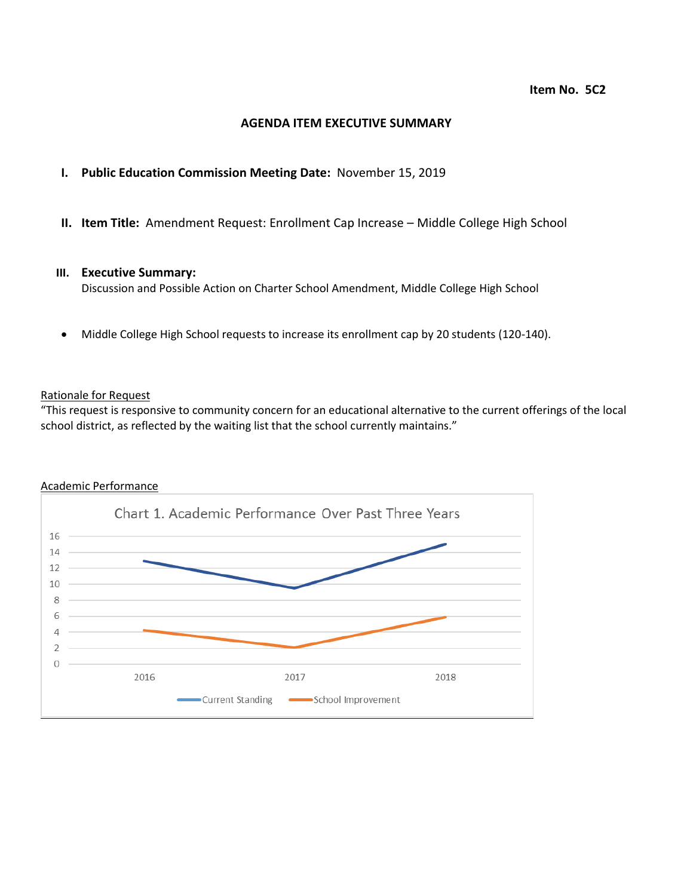## **AGENDA ITEM EXECUTIVE SUMMARY**

# **I. Public Education Commission Meeting Date:** November 15, 2019

**II. Item Title:** Amendment Request: Enrollment Cap Increase – Middle College High School

## **III. Executive Summary:**

Discussion and Possible Action on Charter School Amendment, Middle College High School

Middle College High School requests to increase its enrollment cap by 20 students (120-140).

### Rationale for Request

"This request is responsive to community concern for an educational alternative to the current offerings of the local school district, as reflected by the waiting list that the school currently maintains."

### Academic Performance